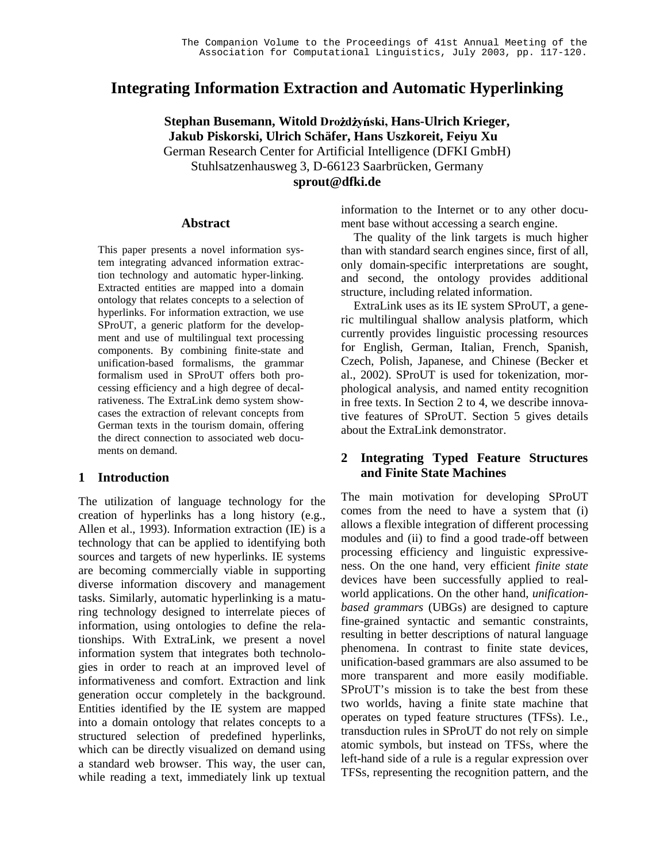# **Integrating Information Extraction and Automatic Hyperlinking**

 $S$ tephan Busemann, Witold Drożdżyński, Hans-Ulrich Krieger, **Jakub Piskorski, Ulrich Schäfer, Hans Uszkoreit, Feiyu Xu** German Research Center for Artificial Intelligence (DFKI GmbH) Stuhlsatzenhausweg 3, D-66123 Saarbrücken, Germany **sprout@dfki.de**

#### **Abstract**

This paper presents a novel information system integrating advanced information extraction technology and automatic hyper-linking. Extracted entities are mapped into a domain ontology that relates concepts to a selection of hyperlinks. For information extraction, we use SProUT, a generic platform for the development and use of multilingual text processing components. By combining finite-state and unification-based formalisms, the grammar formalism used in SProUT offers both processing efficiency and a high degree of decalrativeness. The ExtraLink demo system showcases the extraction of relevant concepts from German texts in the tourism domain, offering the direct connection to associated web documents on demand.

#### **1 Introduction**

The utilization of language technology for the creation of hyperlinks has a long history (e.g., Allen et al., 1993). Information extraction (IE) is a technology that can be applied to identifying both sources and targets of new hyperlinks. IE systems are becoming commercially viable in supporting diverse information discovery and management tasks. Similarly, automatic hyperlinking is a maturing technology designed to interrelate pieces of information, using ontologies to define the relationships. With ExtraLink, we present a novel information system that integrates both technologies in order to reach at an improved level of informativeness and comfort. Extraction and link generation occur completely in the background. Entities identified by the IE system are mapped into a domain ontology that relates concepts to a structured selection of predefined hyperlinks, which can be directly visualized on demand using a standard web browser. This way, the user can, while reading a text, immediately link up textual information to the Internet or to any other document base without accessing a search engine.

The quality of the link targets is much higher than with standard search engines since, first of all, only domain-specific interpretations are sought, and second, the ontology provides additional structure, including related information.

ExtraLink uses as its IE system SProUT, a generic multilingual shallow analysis platform, which currently provides linguistic processing resources for English, German, Italian, French, Spanish, Czech, Polish, Japanese, and Chinese (Becker et al., 2002). SProUT is used for tokenization, morphological analysis, and named entity recognition in free texts. In Section 2 to 4, we describe innovative features of SProUT. Section 5 gives details about the ExtraLink demonstrator.

## **2 Integrating Typed Feature Structures and Finite State Machines**

The main motivation for developing SProUT comes from the need to have a system that (i) allows a flexible integration of different processing modules and (ii) to find a good trade-off between processing efficiency and linguistic expressiveness. On the one hand, very efficient *finite state* devices have been successfully applied to realworld applications. On the other hand, *unificationbased grammars* (UBGs) are designed to capture fine-grained syntactic and semantic constraints, resulting in better descriptions of natural language phenomena. In contrast to finite state devices, unification-based grammars are also assumed to be more transparent and more easily modifiable. SProUT's mission is to take the best from these two worlds, having a finite state machine that operates on typed feature structures (TFSs). I.e., transduction rules in SProUT do not rely on simple atomic symbols, but instead on TFSs, where the left-hand side of a rule is a regular expression over TFSs, representing the recognition pattern, and the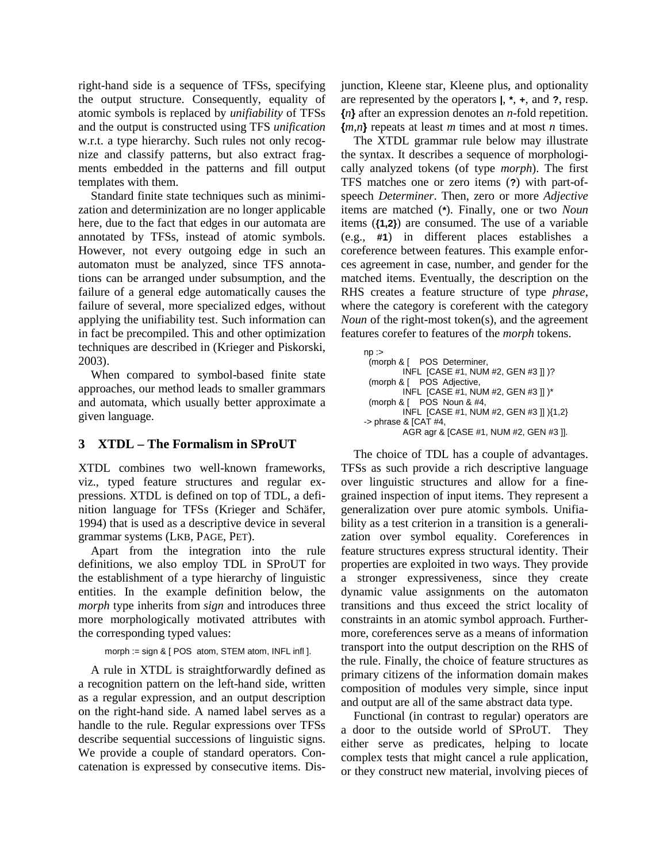right-hand side is a sequence of TFSs, specifying the output structure. Consequently, equality of atomic symbols is replaced by *unifiability* of TFSs and the output is constructed using TFS *unification* w.r.t. a type hierarchy. Such rules not only recognize and classify patterns, but also extract fragments embedded in the patterns and fill output templates with them.

Standard finite state techniques such as minimization and determinization are no longer applicable here, due to the fact that edges in our automata are annotated by TFSs, instead of atomic symbols. However, not every outgoing edge in such an automaton must be analyzed, since TFS annotations can be arranged under subsumption, and the failure of a general edge automatically causes the failure of several, more specialized edges, without applying the unifiability test. Such information can in fact be precompiled. This and other optimization techniques are described in (Krieger and Piskorski, 2003).

When compared to symbol-based finite state approaches, our method leads to smaller grammars and automata, which usually better approximate a given language.

# **3 XTDL – The Formalism in SProUT**

XTDL combines two well-known frameworks, viz., typed feature structures and regular expressions. XTDL is defined on top of TDL, a definition language for TFSs (Krieger and Schäfer, 1994) that is used as a descriptive device in several grammar systems (LKB, PAGE, PET).

Apart from the integration into the rule definitions, we also employ TDL in SProUT for the establishment of a type hierarchy of linguistic entities. In the example definition below, the *morph* type inherits from *sign* and introduces three more morphologically motivated attributes with the corresponding typed values:

```
morph := sign & [ POS atom, STEM atom, INFL infl ].
```
A rule in XTDL is straightforwardly defined as a recognition pattern on the left-hand side, written as a regular expression, and an output description on the right-hand side. A named label serves as a handle to the rule. Regular expressions over TFSs describe sequential successions of linguistic signs. We provide a couple of standard operators. Concatenation is expressed by consecutive items. Disjunction, Kleene star, Kleene plus, and optionality are represented by the operators **|**, **\***, **+**, and **?**, resp. **{***n***}** after an expression denotes an *n*-fold repetition. **{***m,n***}** repeats at least *m* times and at most *n* times.

The XTDL grammar rule below may illustrate the syntax. It describes a sequence of morphologically analyzed tokens (of type *morph*). The first TFS matches one or zero items (**?**) with part-ofspeech *Determiner*. Then, zero or more *Adjective* items are matched (**\***). Finally, one or two *Noun* items (**{1,2}**) are consumed. The use of a variable (e.g., **#1**) in different places establishes a coreference between features. This example enforces agreement in case, number, and gender for the matched items. Eventually, the description on the RHS creates a feature structure of type *phrase*, where the category is coreferent with the category *Noun* of the right-most token(s), and the agreement features corefer to features of the *morph* tokens.

```
np :=(morph & [ POS Determiner,
         INFL [CASE #1, NUM #2, GEN #3 ]] )?
 (morph & [ POS Adjective,
         INFL [CASE #1, NUM #2, GEN #3 ]] )*
 (morph & [ POS Noun & #4,
         INFL [CASE #1, NUM #2, GEN #3 ]] ){1,2}
\rightarrow phrase & [CAT #4,
         AGR agr & [CASE #1, NUM #2, GEN #3 ]].
```
The choice of TDL has a couple of advantages. TFSs as such provide a rich descriptive language over linguistic structures and allow for a finegrained inspection of input items. They represent a generalization over pure atomic symbols. Unifiability as a test criterion in a transition is a generalization over symbol equality. Coreferences in feature structures express structural identity. Their properties are exploited in two ways. They provide a stronger expressiveness, since they create dynamic value assignments on the automaton transitions and thus exceed the strict locality of constraints in an atomic symbol approach. Furthermore, coreferences serve as a means of information transport into the output description on the RHS of the rule. Finally, the choice of feature structures as primary citizens of the information domain makes composition of modules very simple, since input and output are all of the same abstract data type.

Functional (in contrast to regular) operators are a door to the outside world of SProUT. They either serve as predicates, helping to locate complex tests that might cancel a rule application, or they construct new material, involving pieces of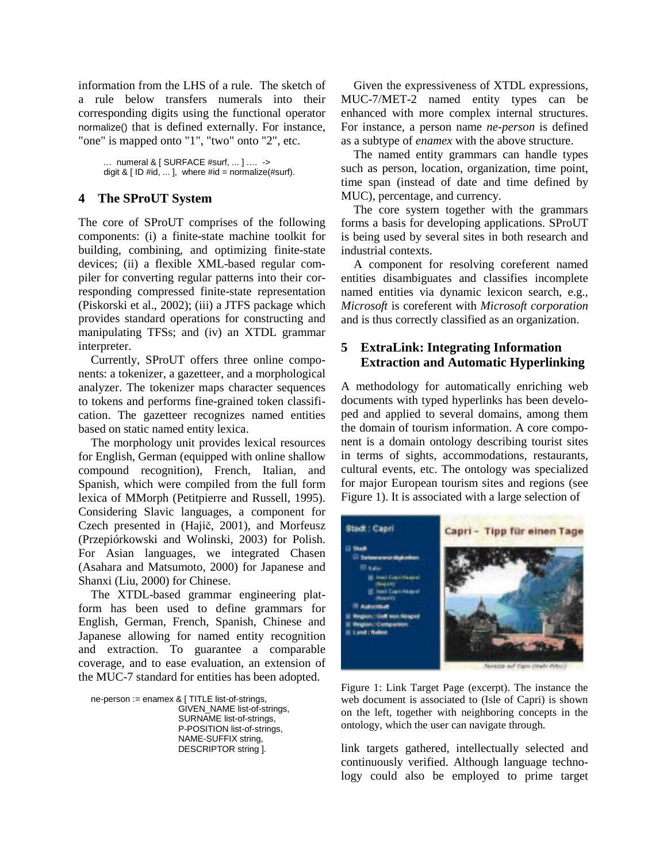information from the LHS of a rule. The sketch of a rule below transfers numerals into their corresponding digits using the functional operator normalize() that is defined externally. For instance, "one" is mapped onto "1", "two" onto "2", etc.

… numeral & [ SURFACE #surf, ... ] .… -> digit &  $[$  ID #id, ... ], where #id = normalize(#surf).

### **4 The SProUT System**

The core of SProUT comprises of the following components: (i) a finite-state machine toolkit for building, combining, and optimizing finite-state devices; (ii) a flexible XML-based regular compiler for converting regular patterns into their corresponding compressed finite-state representation (Piskorski et al., 2002); (iii) a JTFS package which provides standard operations for constructing and manipulating TFSs; and (iv) an XTDL grammar interpreter.

Currently, SProUT offers three online components: a tokenizer, a gazetteer, and a morphological analyzer. The tokenizer maps character sequences to tokens and performs fine-grained token classification. The gazetteer recognizes named entities based on static named entity lexica.

The morphology unit provides lexical resources for English, German (equipped with online shallow compound recognition), French, Italian, and Spanish, which were compiled from the full form lexica of MMorph (Petitpierre and Russell, 1995). Considering Slavic languages, a component for Czech presented in (Hajič, 2001), and Morfeusz (Przepiórkowski and Wolinski, 2003) for Polish. For Asian languages, we integrated Chasen (Asahara and Matsumoto, 2000) for Japanese and Shanxi (Liu, 2000) for Chinese.

The XTDL-based grammar engineering platform has been used to define grammars for English, German, French, Spanish, Chinese and Japanese allowing for named entity recognition and extraction. To guarantee a comparable coverage, and to ease evaluation, an extension of the MUC-7 standard for entities has been adopted.

ne-person := enamex & [ TITLE list-of-strings, GIVEN\_NAME list-of-strings, SURNAME list-of-strings, P-POSITION list-of-strings, NAME-SUFFIX string, DESCRIPTOR string ].

Given the expressiveness of XTDL expressions, MUC-7/MET-2 named entity types can be enhanced with more complex internal structures. For instance, a person name *ne-person* is defined as a subtype of *enamex* with the above structure.

The named entity grammars can handle types such as person, location, organization, time point, time span (instead of date and time defined by MUC), percentage, and currency.

The core system together with the grammars forms a basis for developing applications. SProUT is being used by several sites in both research and industrial contexts.

A component for resolving coreferent named entities disambiguates and classifies incomplete named entities via dynamic lexicon search, e.g., *Microsoft* is coreferent with *Microsoft corporation* and is thus correctly classified as an organization.

# **5 ExtraLink: Integrating Information Extraction and Automatic Hyperlinking**

A methodology for automatically enriching web documents with typed hyperlinks has been developed and applied to several domains, among them the domain of tourism information. A core component is a domain ontology describing tourist sites in terms of sights, accommodations, restaurants, cultural events, etc. The ontology was specialized for major European tourism sites and regions (see Figure 1). It is associated with a large selection of



Figure 1: Link Target Page (excerpt). The instance the web document is associated to (Isle of Capri) is shown on the left, together with neighboring concepts in the ontology, which the user can navigate through.

link targets gathered, intellectually selected and continuously verified. Although language technology could also be employed to prime target